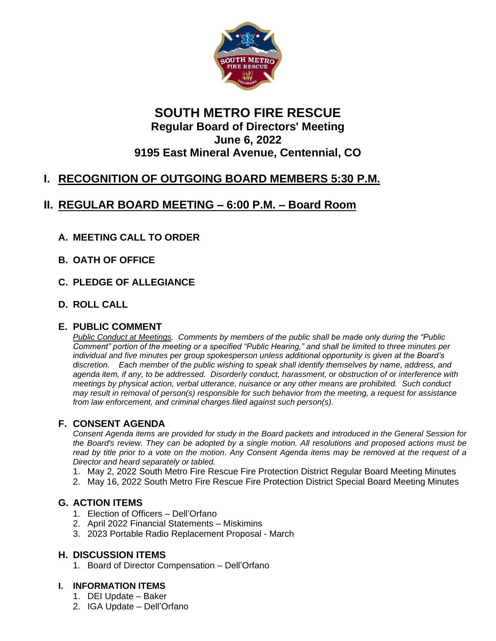

## **SOUTH METRO FIRE RESCUE Regular Board of Directors' Meeting June 6, 2022 9195 East Mineral Avenue, Centennial, CO**

# **I. RECOGNITION OF OUTGOING BOARD MEMBERS 5:30 P.M.**

## **II. REGULAR BOARD MEETING – 6:00 P.M. – Board Room**

### **A. MEETING CALL TO ORDER**

- **B. OATH OF OFFICE**
- **C. PLEDGE OF ALLEGIANCE**
- **D. ROLL CALL**

#### **E. PUBLIC COMMENT**

*Public Conduct at Meetings. Comments by members of the public shall be made only during the "Public Comment" portion of the meeting or a specified "Public Hearing," and shall be limited to three minutes per individual and five minutes per group spokesperson unless additional opportunity is given at the Board's discretion. Each member of the public wishing to speak shall identify themselves by name, address, and agenda item, if any, to be addressed. Disorderly conduct, harassment, or obstruction of or interference with meetings by physical action, verbal utterance, nuisance or any other means are prohibited. Such conduct may result in removal of person(s) responsible for such behavior from the meeting, a request for assistance from law enforcement, and criminal charges filed against such person(s).*

### **F. CONSENT AGENDA**

*Consent Agenda items are provided for study in the Board packets and introduced in the General Session for the Board's review. They can be adopted by a single motion. All resolutions and proposed actions must be read by title prior to a vote on the motion. Any Consent Agenda items may be removed at the request of a Director and heard separately or tabled.*

- 1. May 2, 2022 South Metro Fire Rescue Fire Protection District Regular Board Meeting Minutes
- 2. May 16, 2022 South Metro Fire Rescue Fire Protection District Special Board Meeting Minutes

#### **G. ACTION ITEMS**

- 1. Election of Officers Dell'Orfano
- 2. April 2022 Financial Statements Miskimins
- 3. 2023 Portable Radio Replacement Proposal March

#### **H. DISCUSSION ITEMS**

1. Board of Director Compensation – Dell'Orfano

#### **I. INFORMATION ITEMS**

- 1. DEI Update Baker
- 2. IGA Update Dell'Orfano